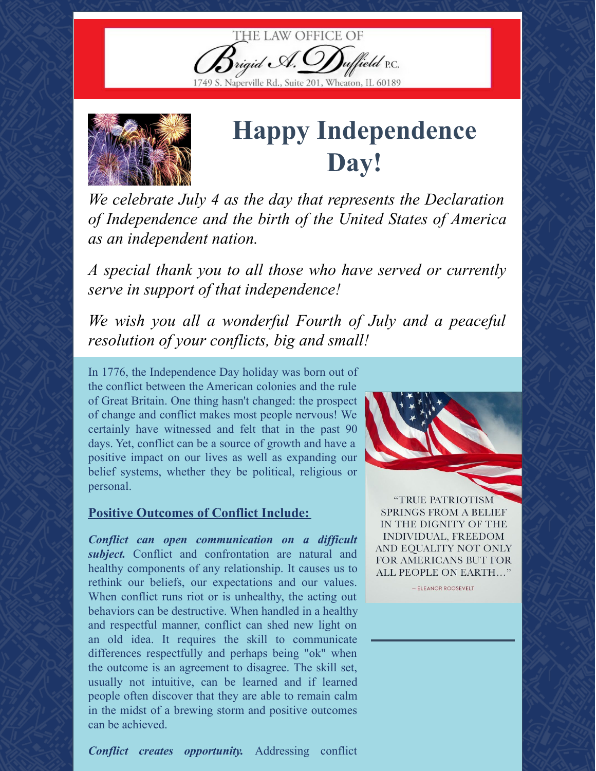



## **Happy Independence Day!**

*We celebrate July 4 as the day that represents the Declaration of Independence and the birth of the United States of America as an independent nation.*

*A special thank you to all those who have served or currently serve in support of that independence!*

*We wish you all a wonderful Fourth of July and a peaceful resolution of your conflicts, big and small!*

In 1776, the Independence Day holiday was born out of the conflict between the American colonies and the rule of Great Britain. One thing hasn't changed: the prospect of change and conflict makes most people nervous! We certainly have witnessed and felt that in the past 90 days. Yet, conflict can be a source of growth and have a positive impact on our lives as well as expanding our belief systems, whether they be political, religious or personal.

## **Positive Outcomes of Conflict Include:**

*Conflict can open communication on a dif icult subject.* Conflict and confrontation are natural and healthy components of any relationship. It causes us to rethink our beliefs, our expectations and our values. When conflict runs riot or is unhealthy, the acting out behaviors can be destructive. When handled in a healthy and respectful manner, conflict can shed new light on an old idea. It requires the skill to communicate differences respectfully and perhaps being "ok" when the outcome is an agreement to disagree. The skill set, usually not intuitive, can be learned and if learned people often discover that they are able to remain calm in the midst of a brewing storm and positive outcomes can be achieved.



"TRUE PATRIOTISM **SPRINGS FROM A BELIEF** IN THE DIGNITY OF THE INDIVIDUAL, FREEDOM AND EQUALITY NOT ONLY FOR AMERICANS BUT FOR ALL PEOPLE ON EARTH..."

- ELEANOR ROOSEVELT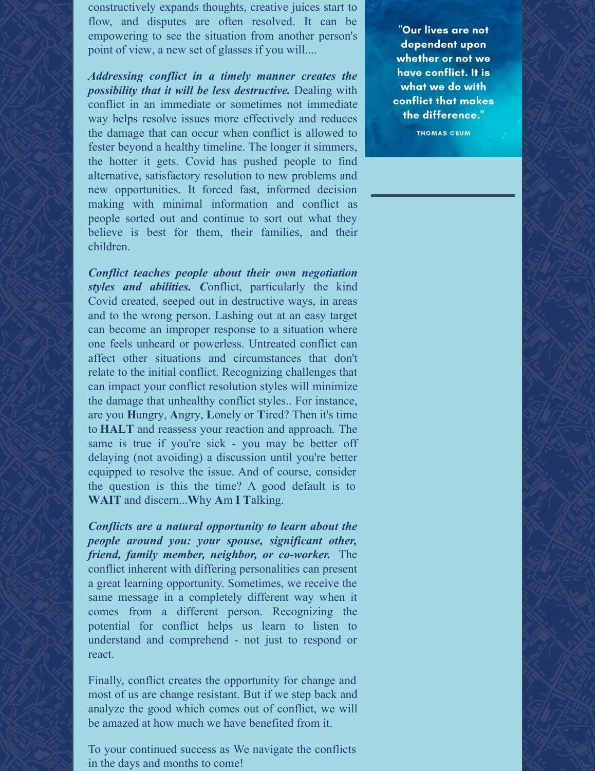constructively expands thoughts, creative juices start to flow, and disputes are often resolved. It can be empowering to see the situation from another person's point of view, a new set of glasses if you will....

*Addressing conflict in a timely manner creates the possibility that it will be less destructive.* Dealing with conflict in an immediate or sometimes not immediate way helps resolve issues more effectively and reduces the damage that can occur when conflict is allowed to fester beyond a healthy timeline. The longer it simmers, the hotter it gets. Covid has pushed people to find alternative, satisfactory resolution to new problems and new opportunities. It forced fast, informed decision making with minimal information and conflict as people sorted out and continue to sort out what they believe is best for them, their families, and their children.

*Conflict teaches people about their own negotiation styles and abilities. C*onflict, particularly the kind Covid created, seeped out in destructive ways, in areas and to the wrong person. Lashing out at an easy target can become an improper response to a situation where one feels unheard or powerless. Untreated conflict can affect other situations and circumstances that don't relate to the initial conflict. Recognizing challenges that can impact your conflict resolution styles will minimize the damage that unhealthy conflict styles.. For instance, are you **H**ungry, **A**ngry, **L**onely or **T**ired? Then it's time to **HALT** and reassess your reaction and approach. The same is true if you're sick - you may be better off delaying (not avoiding) a discussion until you're better equipped to resolve the issue. And of course, consider the question is this the time? A good default is to **WAIT** and discern...**W**hy **A**m **I T**alking.

*Conflicts are a natural opportunity to learn about the people around you: your spouse, significant other, friend, family member, neighbor, or co-worker.* The conflict inherent with differing personalities can present a great learning opportunity. Sometimes, we receive the same message in a completely different way when it comes from a different person. Recognizing the potential for conflict helps us learn to listen to understand and comprehend - not just to respond or react.

Finally, conflict creates the opportunity for change and most of us are change resistant. But if we step back and analyze the good which comes out of conflict, we will be amazed at how much we have benefited from it.

To your continued success as We navigate the conflicts in the days and months to come!

"Our lives are not dependent upon whether or not we have conflict. It is what we do with conflict that makes the difference." **THOMAS CRUM**